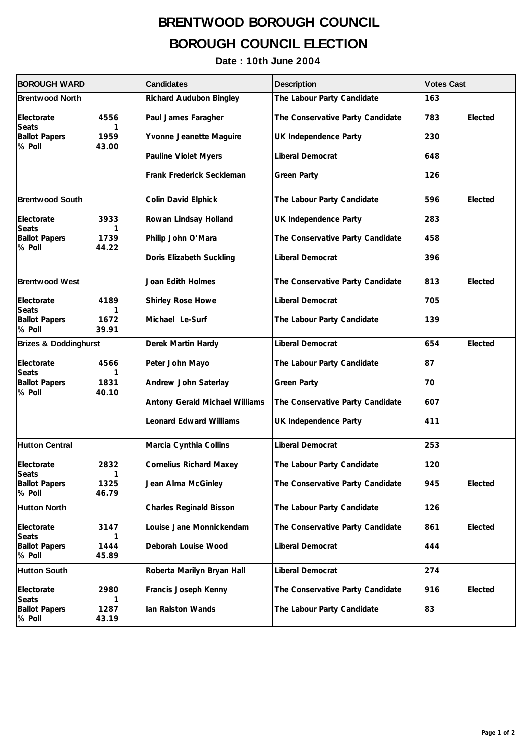## **BRENTWOOD BOROUGH COUNCIL BOROUGH COUNCIL ELECTION**

## **Date : 10th June 2004**

| <b>BOROUGH WARD</b>                            |                    | <b>Candidates</b>              | <b>Description</b>               | <b>Votes Cast</b> |  |
|------------------------------------------------|--------------------|--------------------------------|----------------------------------|-------------------|--|
| <b>Brentwood North</b>                         |                    | Richard Audubon Bingley        | The Labour Party Candidate       | 163               |  |
| Electorate                                     | 4556               | Paul James Faragher            | The Conservative Party Candidate | 783<br>Elected    |  |
| <b>Seats</b><br><b>Ballot Papers</b><br>% Poll | 1<br>1959<br>43.00 | Yvonne Jeanette Maguire        | UK Independence Party            | 230               |  |
|                                                |                    | Pauline Violet Myers           | Liberal Democrat                 | 648               |  |
|                                                |                    | Frank Frederick Seckleman      | <b>Green Party</b>               | 126               |  |
| <b>Brentwood South</b>                         |                    | Colin David Elphick            | The Labour Party Candidate       | 596<br>Elected    |  |
| Electorate<br><b>Seats</b>                     | 3933<br>1          | Rowan Lindsay Holland          | UK Independence Party            | 283               |  |
| <b>Ballot Papers</b><br>% Poll                 | 1739<br>44.22      | Philip John O'Mara             | The Conservative Party Candidate | 458               |  |
|                                                |                    | Doris Elizabeth Suckling       | Liberal Democrat                 | 396               |  |
| <b>Brentwood West</b>                          |                    | Joan Edith Holmes              | The Conservative Party Candidate | 813<br>Elected    |  |
| Electorate<br><b>Seats</b>                     | 4189<br>1          | Shirley Rose Howe              | Liberal Democrat                 | 705               |  |
| <b>Ballot Papers</b><br>% Poll                 | 1672<br>39.91      | Michael Le-Surf                | The Labour Party Candidate       | 139               |  |
| <b>Brizes &amp; Doddinghurst</b>               |                    | Derek Martin Hardy             | Liberal Democrat                 | 654<br>Elected    |  |
| Electorate<br><b>Seats</b>                     | 4566<br>1          | Peter John Mayo                | The Labour Party Candidate       | 87                |  |
| <b>Ballot Papers</b><br>% Poll                 | 1831<br>40.10      | Andrew John Saterlay           | <b>Green Party</b>               | 70                |  |
|                                                |                    | Antony Gerald Michael Williams | The Conservative Party Candidate | 607               |  |
|                                                |                    | <b>Leonard Edward Williams</b> | UK Independence Party            | 411               |  |
| <b>Hutton Central</b>                          |                    | Marcia Cynthia Collins         | Liberal Democrat                 | 253               |  |
| Electorate                                     | 2832               | <b>Cornelius Richard Maxey</b> | The Labour Party Candidate       | 120               |  |
| Seats<br><b>Ballot Papers</b><br>% Poll        | 1325<br>46.79      | Jean Alma McGinley             | The Conservative Party Candidate | 945<br>Elected    |  |
| <b>Hutton North</b>                            |                    | <b>Charles Reginald Bisson</b> | The Labour Party Candidate       | 126               |  |
| Electorate<br><b>Seats</b>                     | 3147<br>1          | Louise Jane Monnickendam       | The Conservative Party Candidate | Elected<br>861    |  |
| <b>Ballot Papers</b><br>% Poll                 | 1444<br>45.89      | Deborah Louise Wood            | Liberal Democrat                 | 444               |  |
| <b>Hutton South</b>                            |                    | Roberta Marilyn Bryan Hall     | Liberal Democrat                 | 274               |  |
| Electorate<br><b>Seats</b>                     | 2980<br>1          | Francis Joseph Kenny           | The Conservative Party Candidate | Elected<br>916    |  |
| <b>Ballot Papers</b><br>% Poll                 | 1287<br>43.19      | Ian Ralston Wands              | The Labour Party Candidate       | 83                |  |